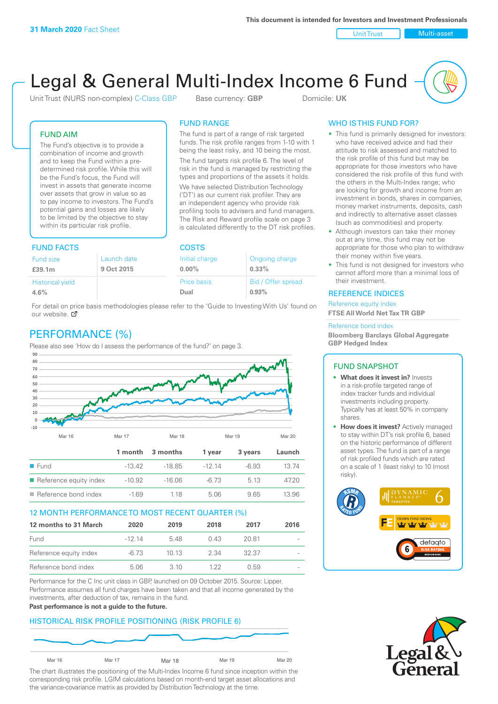Unit Trust Nulti-asset

# Legal & General Multi-Index Income 6 Fund

Unit Trust (NURS non-complex) C-Class GBP Base currency: **GBP** Domicile: UK

The fund is part of a range of risk targeted funds. The risk profile ranges from 1-10 with 1 being the least risky, and 10 being the most. The fund targets risk profile 6. The level of risk in the fund is managed by restricting the types and proportions of the assets it holds. We have selected Distribution Technology ('DT') as our current risk profiler. They are an independent agency who provide risk profiling tools to advisers and fund managers. The Risk and Reward profile scale on page 3 is calculated differently to the DT risk profiles.

FUND RANGE

FUND AIM

The Fund's objective is to provide a combination of income and growth and to keep the Fund within a predetermined risk profile. While this will be the Fund's focus, the Fund will invest in assets that generate income over assets that grow in value so as to pay income to investors. The Fund's potential gains and losses are likely to be limited by the objective to stay within its particular risk profile.

### FUND FACTS COSTS

| .                       |             |                |                    |  |
|-------------------------|-------------|----------------|--------------------|--|
| Fund size               | Launch date | Initial charge | Ongoing charge     |  |
| £39.1m                  | 9 Oct 2015  | $0.00\%$       | $0.33\%$           |  |
| <b>Historical yield</b> |             | Price basis    | Bid / Offer spread |  |
| 4.6%                    |             | Dual           | 0.93%              |  |

For detail on price basis methodologies please refer to the 'Guide to Investing With Us' found on our website. Ø

# PERFORMANCE (%)

Please also see 'How do I assess the performance of the fund?' on page 3.



### 12 MONTH PERFORMANCE TO MOST RECENT QUARTER (%)

| 12 months to 31 March  | 2020    | 2019 | 2018 | 2017  | 2016                     |
|------------------------|---------|------|------|-------|--------------------------|
| Fund                   | $-1214$ | 548  | 0.43 | 20.81 |                          |
| Reference equity index | $-6.73$ | 1013 | 2.34 | 32.37 | $\sim$                   |
| Reference bond index   | 5.06    | 3.10 | 1 22 | O 59  | $\overline{\phantom{a}}$ |

Performance for the C Inc unit class in GBP, launched on 09 October 2015. Source: Lipper. Performance assumes all fund charges have been taken and that all income generated by the investments, after deduction of tax, remains in the fund.

#### **Past performance is not a guide to the future.**

### HISTORICAL RISK PROFILE POSITIONING (RISK PROFILE 6)



The chart illustrates the positioning of the Multi-Index Income 6 fund since inception within the corresponding risk profile. LGIM calculations based on month-end target asset allocations and the variance-covariance matrix as provided by Distribution Technology at the time.

### WHO IS THIS FUND FOR?

- This fund is primarily designed for investors: who have received advice and had their attitude to risk assessed and matched to the risk profile of this fund but may be appropriate for those investors who have considered the risk profile of this fund with the others in the Multi-Index range; who are looking for growth and income from an investment in bonds, shares in companies, money market instruments, deposits, cash and indirectly to alternative asset classes (such as commodities) and property.
- Although investors can take their money out at any time, this fund may not be appropriate for those who plan to withdraw their money within five years.
- This fund is not designed for investors who cannot afford more than a minimal loss of their investment.

### REFERENCE INDICES

Reference equity index **FTSE All World Net Tax TR GBP**

#### Reference bond index

**Bloomberg Barclays Global Aggregate GBP Hedged Index**

### FUND SNAPSHOT

- **• What does it invest in?** Invests in a risk-profile targeted range of index tracker funds and individual investments including property. Typically has at least 50% in company shares.
- **• How does it invest?** Actively managed to stay within DT's risk profile 6, based on the historic performance of different asset types. The fund is part of a range of risk profiled funds which are rated on a scale of 1 (least risky) to 10 (most risky).



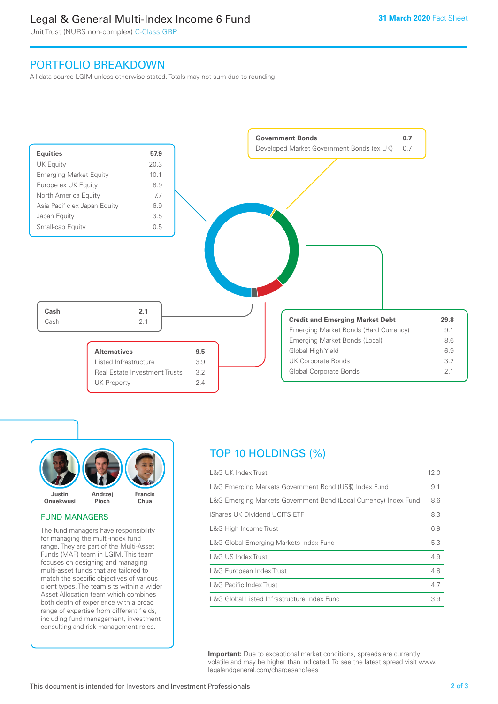# Legal & General Multi-Index Income 6 Fund

Unit Trust (NURS non-complex) C-Class GBP

## PORTFOLIO BREAKDOWN

All data source LGIM unless otherwise stated. Totals may not sum due to rounding.



![](_page_1_Picture_6.jpeg)

### FUND MANAGERS

The fund managers have responsibility for managing the multi-index fund range. They are part of the Multi-Asset Funds (MAF) team in LGIM. This team focuses on designing and managing multi-asset funds that are tailored to match the specific objectives of various client types. The team sits within a wider Asset Allocation team which combines both depth of experience with a broad range of expertise from different fields, including fund management, investment consulting and risk management roles.

# TOP 10 HOLDINGS (%)

| <b>L&amp;G UK Index Trust</b>                                    | 12.0 |
|------------------------------------------------------------------|------|
| L&G Emerging Markets Government Bond (US\$) Index Fund           | 9.1  |
| L&G Emerging Markets Government Bond (Local Currency) Index Fund | 8.6  |
| iShares UK Dividend UCITS ETF                                    | 8.3  |
| L&G High Income Trust                                            | 6.9  |
| L&G Global Emerging Markets Index Fund                           | 5.3  |
| L&G US Index Trust                                               | 4.9  |
| L&G European Index Trust                                         | 4.8  |
| <b>L&amp;G Pacific Index Trust</b>                               | 4.7  |
| L&G Global Listed Infrastructure Index Fund                      | 3.9  |

**Important:** Due to exceptional market conditions, spreads are currently volatile and may be higher than indicated. To see the latest spread visit www. legalandgeneral.com/chargesandfees